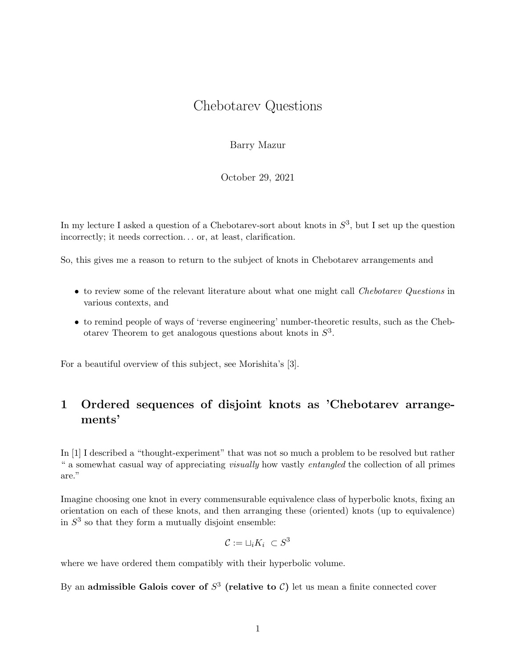## Chebotarev Questions

Barry Mazur

October 29, 2021

In my lecture I asked a question of a Chebotarev-sort about knots in  $S^3$ , but I set up the question incorrectly; it needs correction... or, at least, clarification.

So, this gives me a reason to return to the subject of knots in Chebotarev arrangements and

- to review some of the relevant literature about what one might call *Chebotarev Questions* in various contexts, and
- to remind people of ways of 'reverse engineering' number-theoretic results, such as the Chebotarev Theorem to get analogous questions about knots in  $S<sup>3</sup>$ .

For a beautiful overview of this subject, see Morishita's [3].

## 1 Ordered sequences of disjoint knots as 'Chebotarev arrangements'

In [1] I described a "thought-experiment" that was not so much a problem to be resolved but rather " a somewhat casual way of appreciating visually how vastly entangled the collection of all primes are."

Imagine choosing one knot in every commensurable equivalence class of hyperbolic knots, fixing an orientation on each of these knots, and then arranging these (oriented) knots (up to equivalence) in  $S<sup>3</sup>$  so that they form a mutually disjoint ensemble:

$$
\mathcal{C}:=\sqcup_i K_i \ \subset S^3
$$

where we have ordered them compatibly with their hyperbolic volume.

By an admissible Galois cover of  $S^3$  (relative to C) let us mean a finite connected cover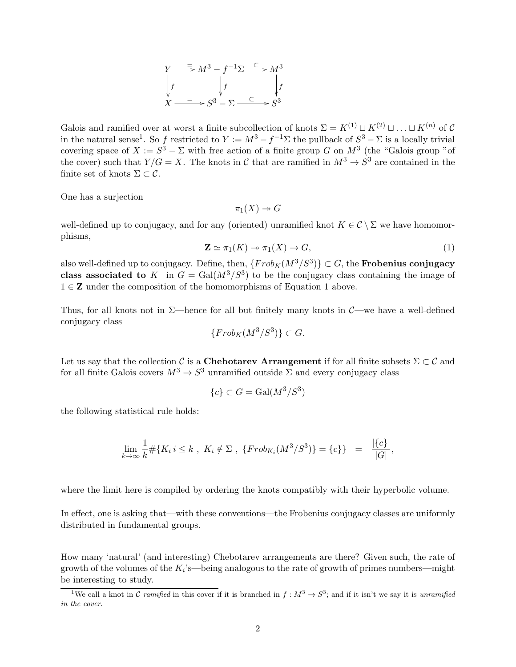$$
Y \xrightarrow{=} M^3 - f^{-1} \Sigma \xrightarrow{C} M^3
$$
  
\n
$$
\downarrow f \qquad \qquad \downarrow f \qquad \qquad \downarrow f
$$
  
\n
$$
X \xrightarrow{=} S^3 - \Sigma \xrightarrow{C} S^3
$$

Galois and ramified over at worst a finite subcollection of knots  $\Sigma = K^{(1)} \sqcup K^{(2)} \sqcup \ldots \sqcup K^{(n)}$  of C in the natural sense<sup>1</sup>. So f restricted to  $Y := M^3 - f^{-1} \Sigma$  the pullback of  $S^3 - \Sigma$  is a locally trivial covering space of  $X := S^3 - \Sigma$  with free action of a finite group G on  $M^3$  (the "Galois group "of the cover) such that  $Y/G = X$ . The knots in C that are ramified in  $M^3 \to S^3$  are contained in the finite set of knots  $\Sigma \subset \mathcal{C}$ .

One has a surjection

 $\pi_1(X) \rightarrow G$ 

well-defined up to conjugacy, and for any (oriented) unramified knot  $K \in \mathcal{C} \setminus \Sigma$  we have homomorphisms,

$$
\mathbf{Z} \simeq \pi_1(K) \to \pi_1(X) \to G,\tag{1}
$$

also well-defined up to conjugacy. Define, then,  $\{Frob_K(M^3/S^3)\} \subset G$ , the **Frobenius conjugacy** class associated to K in  $G = \text{Gal}(M^3/S^3)$  to be the conjugacy class containing the image of  $1 \in \mathbb{Z}$  under the composition of the homomorphisms of Equation 1 above.

Thus, for all knots not in  $\Sigma$ —hence for all but finitely many knots in  $\mathcal{C}$ —we have a well-defined conjugacy class

$$
\{Frob_K(M^3/S^3)\} \subset G.
$$

Let us say that the collection C is a Chebotarev Arrangement if for all finite subsets  $\Sigma \subset \mathcal{C}$  and for all finite Galois covers  $M^3 \to S^3$  unramified outside  $\Sigma$  and every conjugacy class

$$
\{c\} \subset G = \text{Gal}(M^3/S^3)
$$

the following statistical rule holds:

$$
\lim_{k \to \infty} \frac{1}{k} \# \{ K_i \, i \leq k \, , \, K_i \notin \Sigma \, , \, \{ Frob_{K_i}(M^3/S^3) \} = \{ c \} \} \ = \ \frac{|\{ c \}|}{|G|},
$$

where the limit here is compiled by ordering the knots compatibly with their hyperbolic volume.

In effect, one is asking that—with these conventions—the Frobenius conjugacy classes are uniformly distributed in fundamental groups.

How many 'natural' (and interesting) Chebotarev arrangements are there? Given such, the rate of growth of the volumes of the  $K_i$ 's—being analogous to the rate of growth of primes numbers—might be interesting to study.

<sup>&</sup>lt;sup>1</sup>We call a knot in C ramified in this cover if it is branched in  $f: M^3 \to S^3$ ; and if it isn't we say it is unramified in the cover.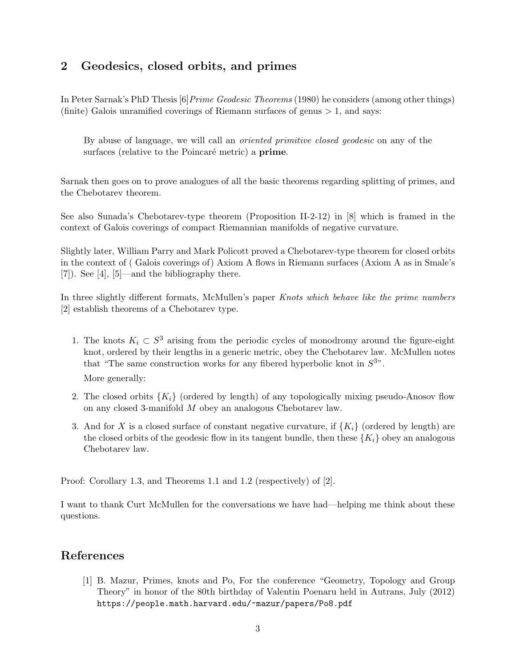## 2 Geodesics, closed orbits, and primes

In Peter Sarnak's PhD Thesis [6] *Prime Geodesic Theorems* (1980) he considers (among other things) (finite) Galois unramified coverings of Riemann surfaces of genus  $> 1$ , and says:

By abuse of language, we will call an oriented primitive closed geodesic on any of the surfaces (relative to the Poincaré metric) a **prime**.

Sarnak then goes on to prove analogues of all the basic theorems regarding splitting of primes, and the Chebotarev theorem.

See also Sunada's Chebotarev-type theorem (Proposition II-2-12) in [8] which is framed in the context of Galois coverings of compact Riemannian manifolds of negative curvature.

Slightly later, William Parry and Mark Policott proved a Chebotarev-type theorem for closed orbits in the context of ( Galois coverings of) Axiom A flows in Riemann surfaces (Axiom A as in Smale's [7]). See [4], [5]—and the bibliography there.

In three slightly different formats, McMullen's paper Knots which behave like the prime numbers [2] establish theorems of a Chebotarev type.

- 1. The knots  $K_i \subset S^3$  arising from the periodic cycles of monodromy around the figure-eight knot, ordered by their lengths in a generic metric, obey the Chebotarev law. McMullen notes that "The same construction works for any fibered hyperbolic knot in  $S^{3n}$ . More generally:
- 2. The closed orbits  $\{K_i\}$  (ordered by length) of any topologically mixing pseudo-Anosov flow on any closed 3-manifold M obey an analogous Chebotarev law.
- 3. And for X is a closed surface of constant negative curvature, if  $\{K_i\}$  (ordered by length) are the closed orbits of the geodesic flow in its tangent bundle, then these  ${K_i}$  obey an analogous Chebotarev law.

Proof: Corollary 1.3, and Theorems 1.1 and 1.2 (respectively) of [2].

I want to thank Curt McMullen for the conversations we have had—helping me think about these questions.

## References

[1] B. Mazur, Primes, knots and Po, For the conference "Geometry, Topology and Group Theory" in honor of the 80th birthday of Valentin Poenaru held in Autrans, July (2012) https://people.math.harvard.edu/~mazur/papers/Po8.pdf